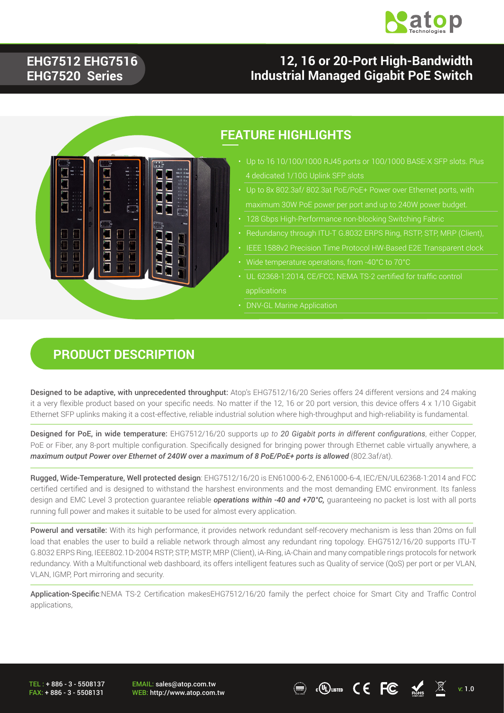

#### **EHG7512 EHG7516 EHG7520 Series**

### **12, 16 or 20-Port High-Bandwidth Industrial Managed Gigabit PoE Switch**



#### **FEATURE HIGHLIGHTS**

- 4 dedicated 1/10G Uplink SFP slots
- 
- 
- 
- 
- 
- UL 62368-1:2014, CE/FCC, NEMA TS-2 certified for traffic control applications
- DNV-GL Marine Application

#### **PRODUCT DESCRIPTION**

Designed to be adaptive, with unprecedented throughput: Atop's EHG7512/16/20 Series offers 24 different versions and 24 making it a very flexible product based on your specific needs. No matter if the 12, 16 or 20 port version, this device offers 4 x 1/10 Gigabit Ethernet SFP uplinks making it a cost-effective, reliable industrial solution where high-throughput and high-reliability is fundamental.

Designed for PoE, in wide temperature: EHG7512/16/20 supports *up to 20 Gigabit ports in different configurations*, either Copper, PoE or Fiber, any 8-port multiple configuration. Specifically designed for bringing power through Ethernet cable virtually anywhere, a *maximum output Power over Ethernet of 240W over a maximum of 8 PoE/PoE+ ports is allowed* (802.3af/at).

Rugged, Wide-Temperature, Well protected design: EHG7512/16/20 is EN61000-6-2, EN61000-6-4, IEC/EN/UL62368-1:2014 and FCC certified certified and is designed to withstand the harshest environments and the most demanding EMC environment. Its fanless design and EMC Level 3 protection guarantee reliable *operations within -40 and +70°C,* guaranteeing no packet is lost with all ports running full power and makes it suitable to be used for almost every application.

Powerul and versatile: With its high performance, it provides network redundant self-recovery mechanism is less than 20ms on full load that enables the user to build a reliable network through almost any redundant ring topology. EHG7512/16/20 supports ITU-T G.8032 ERPS Ring, IEEE802.1D-2004 RSTP, STP, MSTP, MRP (Client), iA-Ring, iA-Chain and many compatible rings protocols for network redundancy. With a Multifunctional web dashboard, its offers intelligent features such as Quality of service (QoS) per port or per VLAN, VLAN, IGMP, Port mirroring and security.

Application-Specific:NEMA TS-2 Certification makesEHG7512/16/20 family the perfect choice for Smart City and Traffic Control applications,

TEL : + 886 - 3 - 5508137 FAX: + 886 - 3 - 5508131 EMAIL: sales@atop.com.tw

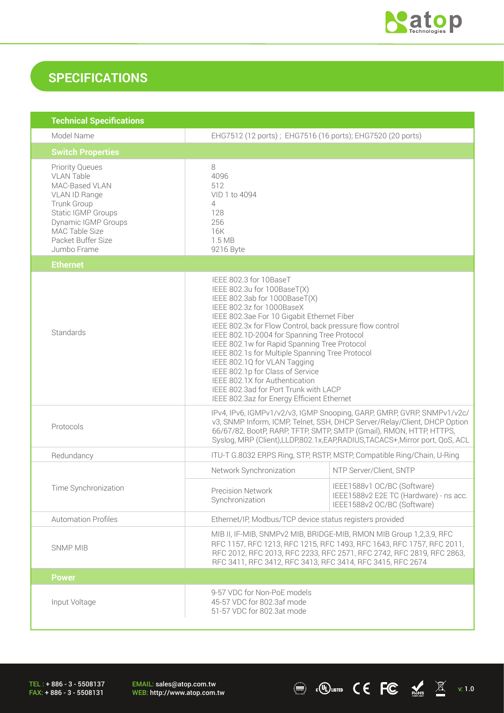

### **SPECIFICATIONS**

| <b>Technical Specifications</b>                                                                                                                                                                   |                                                                                                                                                                                                                                                                                                                                                                                                                                                                                                                                                                              |                                                                                                      |
|---------------------------------------------------------------------------------------------------------------------------------------------------------------------------------------------------|------------------------------------------------------------------------------------------------------------------------------------------------------------------------------------------------------------------------------------------------------------------------------------------------------------------------------------------------------------------------------------------------------------------------------------------------------------------------------------------------------------------------------------------------------------------------------|------------------------------------------------------------------------------------------------------|
| Model Name                                                                                                                                                                                        | EHG7512 (12 ports); EHG7516 (16 ports); EHG7520 (20 ports)                                                                                                                                                                                                                                                                                                                                                                                                                                                                                                                   |                                                                                                      |
| <b>Switch Properties</b>                                                                                                                                                                          |                                                                                                                                                                                                                                                                                                                                                                                                                                                                                                                                                                              |                                                                                                      |
| <b>Priority Queues</b><br><b>VLAN Table</b><br>MAC-Based VLAN<br>VLAN ID Range<br>Trunk Group<br>Static IGMP Groups<br>Dynamic IGMP Groups<br>MAC Table Size<br>Packet Buffer Size<br>Jumbo Frame | 8<br>4096<br>512<br>VID 1 to 4094<br>4<br>128<br>256<br>16K<br>1.5 MB<br>9216 Byte                                                                                                                                                                                                                                                                                                                                                                                                                                                                                           |                                                                                                      |
| <b>Ethernet</b>                                                                                                                                                                                   |                                                                                                                                                                                                                                                                                                                                                                                                                                                                                                                                                                              |                                                                                                      |
| Standards                                                                                                                                                                                         | IEEE 802.3 for 10BaseT<br>IEEE 802.3u for 100BaseT(X)<br>IEEE 802.3ab for 1000BaseT(X)<br>IEEE 802.3z for 1000BaseX<br>IEEE 802.3ae For 10 Gigabit Ethernet Fiber<br>IEEE 802.3x for Flow Control, back pressure flow control<br>IEEE 802.1D-2004 for Spanning Tree Protocol<br>IEEE 802.1w for Rapid Spanning Tree Protocol<br>IEEE 802.1s for Multiple Spanning Tree Protocol<br>IEEE 802.1Q for VLAN Tagging<br>IEEE 802.1p for Class of Service<br>IEEE 802.1X for Authentication<br>IEEE 802.3ad for Port Trunk with LACP<br>IEEE 802.3az for Energy Efficient Ethernet |                                                                                                      |
| Protocols                                                                                                                                                                                         | IPv4, IPv6, IGMPv1/v2/v3, IGMP Snooping, GARP, GMRP, GVRP, SNMPv1/v2c/<br>v3, SNMP Inform, ICMP, Telnet, SSH, DHCP Server/Relay/Client, DHCP Option<br>66/67/82, BootP, RARP, TFTP, SMTP, SMTP (Gmail), RMON, HTTP, HTTPS,<br>Syslog, MRP (Client), LLDP, 802.1x, EAP, RADIUS, TACACS+, Mirror port, QoS, ACL                                                                                                                                                                                                                                                                |                                                                                                      |
| Redundancy                                                                                                                                                                                        | ITU-T G.8032 ERPS Ring, STP, RSTP, MSTP, Compatible Ring/Chain, U-Ring                                                                                                                                                                                                                                                                                                                                                                                                                                                                                                       |                                                                                                      |
|                                                                                                                                                                                                   | Network Synchronization                                                                                                                                                                                                                                                                                                                                                                                                                                                                                                                                                      | NTP Server/Client, SNTP                                                                              |
| Time Synchronization                                                                                                                                                                              | Precision Network<br>Synchronization                                                                                                                                                                                                                                                                                                                                                                                                                                                                                                                                         | IEEE1588v1 OC/BC (Software)<br>IEEE1588v2 E2E TC (Hardware) - ns acc.<br>IEEE1588v2 OC/BC (Software) |
| <b>Automation Profiles</b>                                                                                                                                                                        | Ethernet/IP, Modbus/TCP device status registers provided                                                                                                                                                                                                                                                                                                                                                                                                                                                                                                                     |                                                                                                      |
| <b>SNMP MIB</b>                                                                                                                                                                                   | MIB II, IF-MIB, SNMPv2 MIB, BRIDGE-MIB, RMON MIB Group 1,2,3,9, RFC<br>RFC 1157, RFC 1213, RFC 1215, RFC 1493, RFC 1643, RFC 1757, RFC 2011,<br>RFC 2012, RFC 2013, RFC 2233, RFC 2571, RFC 2742, RFC 2819, RFC 2863,<br>RFC 3411, RFC 3412, RFC 3413, RFC 3414, RFC 3415, RFC 2674                                                                                                                                                                                                                                                                                          |                                                                                                      |
| <b>Power</b>                                                                                                                                                                                      |                                                                                                                                                                                                                                                                                                                                                                                                                                                                                                                                                                              |                                                                                                      |
| Input Voltage                                                                                                                                                                                     | 9-57 VDC for Non-PoE models<br>45-57 VDC for 802.3af mode<br>51-57 VDC for 802.3at mode                                                                                                                                                                                                                                                                                                                                                                                                                                                                                      |                                                                                                      |

TEL : + 886 - 3 - 5508137 FAX: + 886 - 3 - 5508131

EMAIL: sales@atop.com.tw<br>WEB: http://www.atop.com.tw

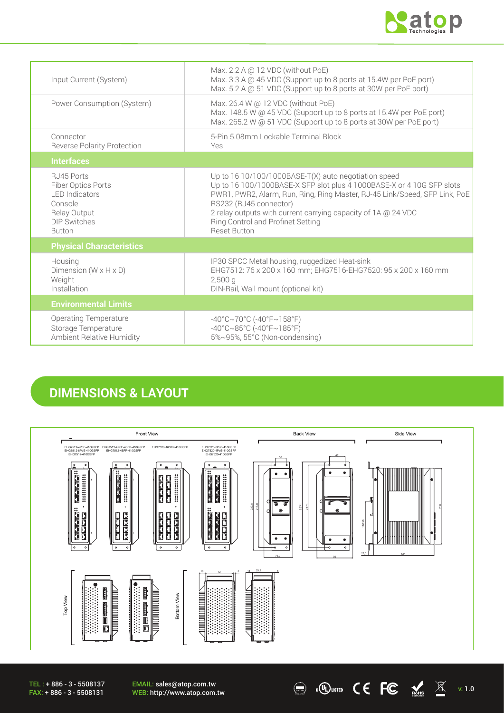

| Input Current (System)                                                                                                        | Max. 2.2 A @ 12 VDC (without PoE)<br>Max. 3.3 A @ 45 VDC (Support up to 8 ports at 15.4W per PoE port)<br>Max. 5.2 A @ 51 VDC (Support up to 8 ports at 30W per PoE port)                                                                                                                                                                                             |
|-------------------------------------------------------------------------------------------------------------------------------|-----------------------------------------------------------------------------------------------------------------------------------------------------------------------------------------------------------------------------------------------------------------------------------------------------------------------------------------------------------------------|
| Power Consumption (System)                                                                                                    | Max. 26.4 W @ 12 VDC (without PoE)<br>Max. 148.5 W @ 45 VDC (Support up to 8 ports at 15.4W per PoE port)<br>Max. 265.2 W @ 51 VDC (Support up to 8 ports at 30W per PoE port)                                                                                                                                                                                        |
| Connector<br><b>Reverse Polarity Protection</b>                                                                               | 5-Pin 5.08mm Lockable Terminal Block<br>Yes                                                                                                                                                                                                                                                                                                                           |
| <b>Interfaces</b>                                                                                                             |                                                                                                                                                                                                                                                                                                                                                                       |
| RJ45 Ports<br>Fiber Optics Ports<br><b>I FD Indicators</b><br>Console<br>Relay Output<br><b>DIP Switches</b><br><b>Button</b> | Up to $16 10/100/1000$ BASE-T(X) auto negotiation speed<br>Up to 16 100/1000BASE-X SFP slot plus 4 1000BASE-X or 4 10G SFP slots<br>PWR1, PWR2, Alarm, Run, Ring, Ring Master, RJ-45 Link/Speed, SFP Link, PoE<br>RS232 (RJ45 connector)<br>2 relay outputs with current carrying capacity of 1A @ 24 VDC<br>Ring Control and Profinet Setting<br><b>Reset Button</b> |
| <b>Physical Characteristics</b>                                                                                               |                                                                                                                                                                                                                                                                                                                                                                       |
| Housing<br>Dimension ( $W \times H \times D$ )<br>Weight<br>Installation                                                      | IP30 SPCC Metal housing, ruggedized Heat-sink<br>EHG7512: 76 x 200 x 160 mm; EHG7516-EHG7520: 95 x 200 x 160 mm<br>$2,500$ a<br>DIN-Rail, Wall mount (optional kit)                                                                                                                                                                                                   |
| <b>Environmental Limits</b>                                                                                                   |                                                                                                                                                                                                                                                                                                                                                                       |
| <b>Operating Temperature</b><br>Storage Temperature<br>Ambient Relative Humidity                                              | $-40^{\circ}$ C $\sim$ 70°C (-40°F $\sim$ 158°F)<br>$-40^{\circ}$ C $\sim$ 85°C (-40°F $\sim$ 185°F)<br>5%~95%, 55°C (Non-condensing)                                                                                                                                                                                                                                 |

### **DIMENSIONS & LAYOUT**



 $\textcircled{\tiny{\textcircled{\tiny{K}}}}$  .  $\textcircled{\tiny{\textcircled{\tiny{K}}}}$   $\textcircled{\tiny{\textcircled{\tiny{K}}}}$   $\textcircled{\tiny{\textcircled{\tiny{K}}}}$   $\textcircled{\tiny{\textcircled{\tiny{K}}}}$   $\textcircled{\tiny{\textcircled{\tiny{K}}}}$   $\textcircled{\tiny{\textcircled{\tiny{K}}}}$   $\textcircled{\tiny{\textcircled{\tiny{K}}}}$   $\textcircled{\tiny{\textcircled{\tiny{K}}}}$   $\textcircled{\tiny{\textcircled{\tiny{K}}}}$   $\textcircled{\tiny{\textcircled{\tiny{K}}}}$   $\textcircled{\tiny{\textcirc$ 

TEL : + 886 - 3 - 5508137 FAX: + 886 - 3 - 5508131

EMAIL: sales@atop.com.tw<br>WEB: http://www.atop.com.tw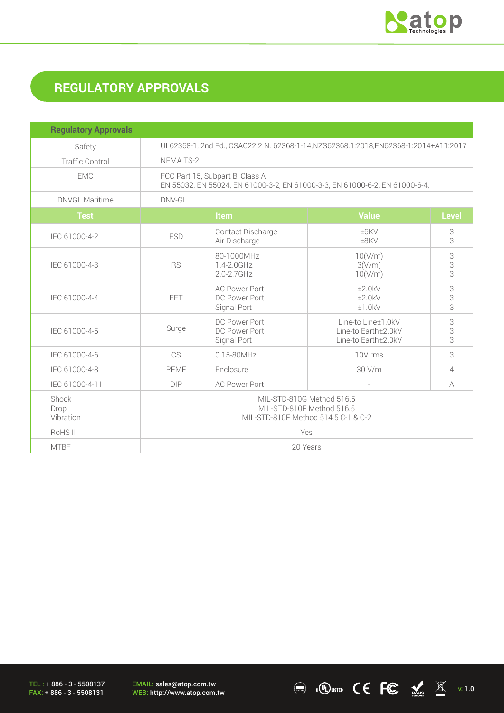

# **REGULATORY APPROVALS**

| <b>Regulatory Approvals</b> |                                                                                                                |                                                      |                                                                  |              |
|-----------------------------|----------------------------------------------------------------------------------------------------------------|------------------------------------------------------|------------------------------------------------------------------|--------------|
| Safety                      | UL62368-1, 2nd Ed., CSAC22.2 N. 62368-1-14, NZS62368.1:2018, EN62368-1:2014+A11:2017                           |                                                      |                                                                  |              |
| <b>Traffic Control</b>      | NEMA TS-2                                                                                                      |                                                      |                                                                  |              |
| <b>EMC</b>                  | FCC Part 15, Subpart B, Class A<br>EN 55032, EN 55024, EN 61000-3-2, EN 61000-3-3, EN 61000-6-2, EN 61000-6-4, |                                                      |                                                                  |              |
| <b>DNVGL Maritime</b>       | DNV-GL                                                                                                         |                                                      |                                                                  |              |
| <b>Test</b>                 |                                                                                                                | Item                                                 | <b>Value</b>                                                     | <b>Level</b> |
| IEC 61000-4-2               | <b>ESD</b>                                                                                                     | Contact Discharge<br>Air Discharge                   | ±6KV<br>±8KV                                                     | 3<br>3       |
| IEC 61000-4-3               | <b>RS</b>                                                                                                      | 80-1000MHz<br>1.4-2.0GHz<br>$2.0 - 2.7$ GHz          | 10(V/m)<br>3(V/m)<br>10(V/m)                                     | 3<br>3<br>3  |
| IEC 61000-4-4               | EFT                                                                                                            | <b>AC Power Port</b><br>DC Power Port<br>Signal Port | ±2.0kV<br>±2.0kV<br>±1.0kV                                       | 3<br>3<br>3  |
| IEC 61000-4-5               | Surge                                                                                                          | DC Power Port<br>DC Power Port<br>Signal Port        | Line-to Line±1.0kV<br>Line-to Earth±2.0kV<br>Line-to Earth±2.0kV | 3<br>3<br>3  |
| IEC 61000-4-6               | CS.                                                                                                            | $0.15 - 80$ MHz                                      | 10V rms                                                          | 3            |
| IEC 61000-4-8               | PFMF                                                                                                           | Enclosure                                            | 30 V/m                                                           | 4            |
| IEC 61000-4-11              | <b>DIP</b>                                                                                                     | <b>AC Power Port</b>                                 |                                                                  | A            |
| Shock<br>Drop<br>Vibration  | MIL-STD-810G Method 516.5<br>MIL-STD-810F Method 516.5<br>MIL-STD-810F Method 514.5 C-1 & C-2                  |                                                      |                                                                  |              |
| RoHS II                     | Yes                                                                                                            |                                                      |                                                                  |              |
| <b>MTBF</b>                 | 20 Years                                                                                                       |                                                      |                                                                  |              |

TEL : + 886 - 3 - 5508137 FAX: + 886 - 3 - 5508131

EMAIL: sales@atop.com.tw<br>WEB: http://www.atop.com.tw

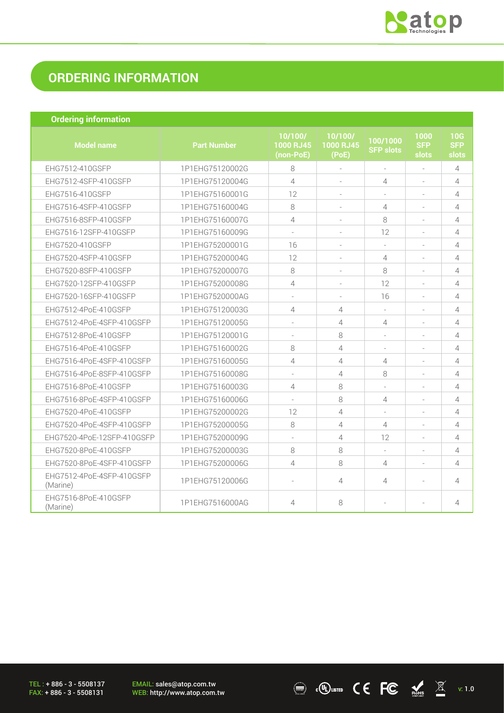

 $\overline{\text{C}}$  .  $\overline{\text{C}}$   $\overline{\text{C}}$   $\overline{\text{C}}$   $\overline{\text{C}}$   $\overline{\text{C}}$   $\overline{\text{C}}$   $\overline{\text{C}}$   $\overline{\text{C}}$   $\overline{\text{C}}$   $\overline{\text{C}}$   $\overline{\text{C}}$   $\overline{\text{C}}$   $\overline{\text{C}}$   $\overline{\text{C}}$   $\overline{\text{C}}$   $\overline{\text{C}}$   $\overline{\text{C}}$   $\overline{\text{C}}$   $\overline{\text{C}}$ 

## **ORDERING INFORMATION**

| <b>Ordering information</b>           |                    |                                   |                               |                              |                             |                            |
|---------------------------------------|--------------------|-----------------------------------|-------------------------------|------------------------------|-----------------------------|----------------------------|
| <b>Model name</b>                     | <b>Part Number</b> | 10/100/<br>1000 RJ45<br>(non-PoE) | 10/100/<br>1000 RJ45<br>(PoE) | 100/1000<br><b>SFP slots</b> | 1000<br><b>SFP</b><br>slots | 10G<br><b>SFP</b><br>slots |
| EHG7512-410GSFP                       | 1P1EHG75120002G    | 8                                 | ÷.                            | ÷.                           | ÷.                          | $\overline{4}$             |
| EHG7512-4SFP-410GSFP                  | 1P1EHG75120004G    | $\overline{4}$                    |                               | 4                            |                             | $\overline{4}$             |
| EHG7516-410GSFP                       | 1P1EHG75160001G    | 12                                | ÷                             |                              |                             | 4                          |
| EHG7516-4SFP-410GSFP                  | 1P1EHG75160004G    | 8                                 |                               | 4                            |                             | 4                          |
| EHG7516-8SFP-410GSFP                  | 1P1EHG75160007G    | 4                                 | $\sim$                        | 8                            | $\sim$                      | $\overline{4}$             |
| EHG7516-12SFP-410GSFP                 | 1P1EHG75160009G    | $\sim$                            | $\equiv$                      | 12                           | $\sim$                      | $\overline{4}$             |
| EHG7520-410GSFP                       | 1P1EHG75200001G    | 16                                |                               | $\sim$                       |                             | $\overline{4}$             |
| EHG7520-4SFP-410GSFP                  | 1P1EHG75200004G    | 12                                | $\equiv$                      | $\overline{4}$               | $\sim$                      | $\overline{4}$             |
| EHG7520-8SFP-410GSFP                  | 1P1EHG75200007G    | 8                                 |                               | 8                            |                             | $\overline{4}$             |
| EHG7520-12SFP-410GSFP                 | 1P1EHG75200008G    | 4                                 | $\sim$                        | 12                           | $\sim$                      | $\overline{4}$             |
| EHG7520-16SFP-410GSFP                 | 1P1EHG7520000AG    | $\sim$                            | $\sim$                        | 16                           | $\sim$                      | $\overline{4}$             |
| EHG7512-4PoE-410GSFP                  | 1P1EHG75120003G    | 4                                 | $\overline{4}$                |                              |                             | $\overline{4}$             |
| EHG7512-4PoE-4SFP-410GSFP             | 1P1EHG75120005G    | $\overline{\phantom{a}}$          | $\overline{4}$                | $\overline{4}$               |                             | $\overline{4}$             |
| EHG7512-8PoE-410GSFP                  | 1P1EHG75120001G    | $\overline{\phantom{a}}$          | 8                             |                              |                             | $\overline{4}$             |
| EHG7516-4PoE-410GSFP                  | 1P1EHG75160002G    | 8                                 | $\overline{4}$                |                              |                             | $\overline{4}$             |
| EHG7516-4PoE-4SFP-410GSFP             | 1P1EHG75160005G    | 4                                 | $\overline{4}$                | $\overline{4}$               | $\sim$                      | 4                          |
| EHG7516-4PoE-8SFP-410GSFP             | 1P1EHG75160008G    |                                   | $\overline{4}$                | 8                            |                             | $\overline{4}$             |
| EHG7516-8PoE-410GSFP                  | 1P1EHG75160003G    | 4                                 | 8                             | $\overline{\phantom{a}}$     |                             | 4                          |
| EHG7516-8PoE-4SFP-410GSFP             | 1P1EHG75160006G    |                                   | 8                             | $\overline{4}$               |                             | $\overline{4}$             |
| EHG7520-4PoE-410GSFP                  | 1P1EHG75200002G    | 12                                | $\overline{4}$                |                              | $\sim$                      | $\overline{4}$             |
| EHG7520-4PoE-4SFP-410GSFP             | 1P1EHG75200005G    | 8                                 | $\overline{4}$                | 4                            | $\sim$                      | 4                          |
| EHG7520-4PoE-12SFP-410GSFP            | 1P1EHG75200009G    | $\sim$                            | $\overline{4}$                | 12                           |                             | $\overline{4}$             |
| EHG7520-8PoE-410GSFP                  | 1P1EHG75200003G    | 8                                 | 8                             | $\sim$                       |                             | 4                          |
| EHG7520-8PoE-4SFP-410GSFP             | 1P1EHG75200006G    | $\overline{4}$                    | 8                             | 4                            |                             | 4                          |
| EHG7512-4PoE-4SFP-410GSFP<br>(Marine) | 1P1EHG75120006G    | $\overline{\phantom{a}}$          | $\overline{4}$                | 4                            |                             | $\overline{4}$             |
| EHG7516-8PoE-410GSFP<br>(Marine)      | 1P1EHG7516000AG    | 4                                 | 8                             |                              |                             | 4                          |

TEL : + 886 - 3 - 5508137 FAX: + 886 - 3 - 5508131